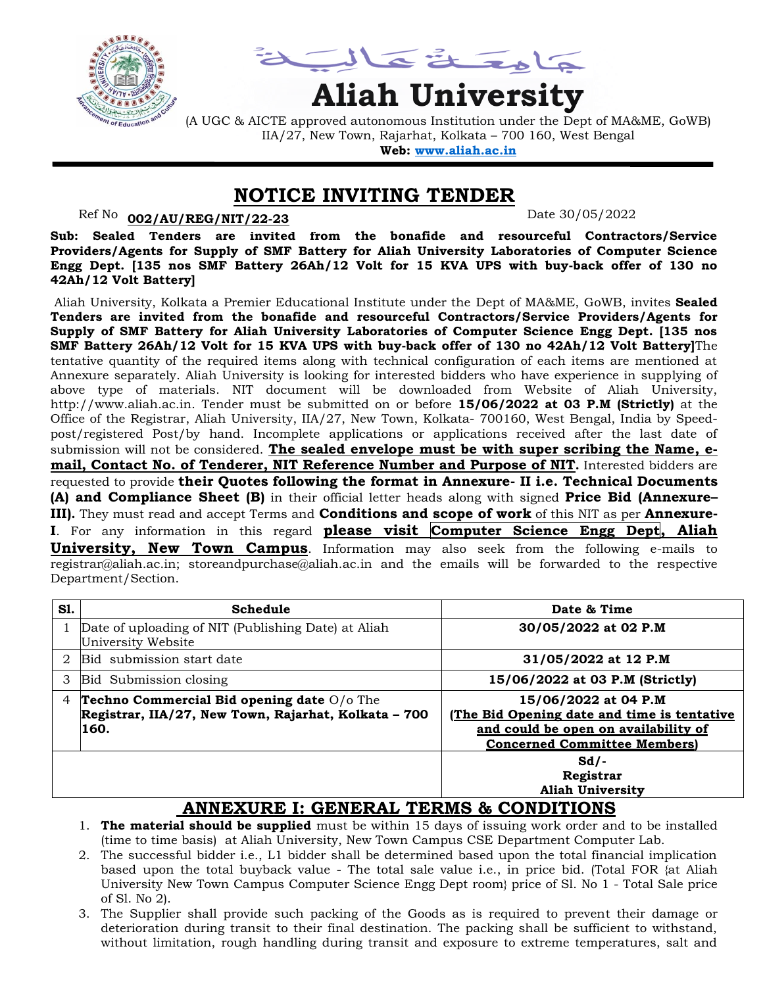

حكامة تختملية

# **Aliah University**

(A UGC & AICTE approved autonomous Institution under the Dept of MA&ME, GoWB) IIA/27, New Town, Rajarhat, Kolkata – 700 160, West Bengal **Web: [www.aliah.ac.in](http://www.aliah.ac.in/)**

#### **NOTICE INVITING TENDER**

#### Ref No: **002/AU/REG/NIT/22-23** Date 30/05/2022

**Sub: Sealed Tenders are invited from the bonafide and resourceful Contractors/Service Providers/Agents for Supply of SMF Battery for Aliah University Laboratories of Computer Science Engg Dept. [135 nos SMF Battery 26Ah/12 Volt for 15 KVA UPS with buy-back offer of 130 no 42Ah/12 Volt Battery]**

Aliah University, Kolkata a Premier Educational Institute under the Dept of MA&ME, GoWB, invites **Sealed Tenders are invited from the bonafide and resourceful Contractors/Service Providers/Agents for Supply of SMF Battery for Aliah University Laboratories of Computer Science Engg Dept. [135 nos SMF Battery 26Ah/12 Volt for 15 KVA UPS with buy-back offer of 130 no 42Ah/12 Volt Battery]**The tentative quantity of the required items along with technical configuration of each items are mentioned at Annexure separately. Aliah University is looking for interested bidders who have experience in supplying of above type of materials. NIT document will be downloaded from Website of Aliah University, http://www.aliah.ac.in. Tender must be submitted on or before **15/06/2022 at 03 P.M (Strictly)** at the Office of the Registrar, Aliah University, IIA/27, New Town, Kolkata- 700160, West Bengal, India by Speedpost/registered Post/by hand. Incomplete applications or applications received after the last date of submission will not be considered. **The sealed envelope must be with super scribing the Name, email, Contact No. of Tenderer, NIT Reference Number and Purpose of NIT.** Interested bidders are requested to provide **their Quotes following the format in Annexure- II i.e. Technical Documents (A) and Compliance Sheet (B)** in their official letter heads along with signed **Price Bid (Annexure– III).** They must read and accept Terms and **Conditions and scope of work** of this NIT as per **Annexure-I**. For any information in this regard **please visit Computer Science Engg Dept, Aliah University, New Town Campus**. Information may also seek from the following e-mails to registrar@aliah.ac.in; storeandpurchase@aliah.ac.in and the emails will be forwarded to the respective Department/Section.

| S1. | Schedule                                                                                                   | Date & Time                                                                                                                                        |
|-----|------------------------------------------------------------------------------------------------------------|----------------------------------------------------------------------------------------------------------------------------------------------------|
|     | Date of uploading of NIT (Publishing Date) at Aliah<br>University Website                                  | 30/05/2022 at 02 P.M                                                                                                                               |
| 2   | Bid submission start date                                                                                  | 31/05/2022 at 12 P.M                                                                                                                               |
| 3   | Bid Submission closing                                                                                     | 15/06/2022 at 03 P.M (Strictly)                                                                                                                    |
| 4   | Techno Commercial Bid opening date O/o The<br>Registrar, IIA/27, New Town, Rajarhat, Kolkata - 700<br>160. | 15/06/2022 at 04 P.M<br>(The Bid Opening date and time is tentative<br>and could be open on availability of<br><b>Concerned Committee Members)</b> |
|     |                                                                                                            | $Sd/-$<br>Registrar<br><b>Aliah University</b>                                                                                                     |

#### **ANNEXURE I: GENERAL TERMS & CONDITIONS**

- 1. **The material should be supplied** must be within 15 days of issuing work order and to be installed (time to time basis) at Aliah University, New Town Campus CSE Department Computer Lab.
- 2. The successful bidder i.e., L1 bidder shall be determined based upon the total financial implication based upon the total buyback value - The total sale value i.e., in price bid. (Total FOR {at Aliah University New Town Campus Computer Science Engg Dept room} price of Sl. No 1 - Total Sale price of Sl. No 2).
- 3. The Supplier shall provide such packing of the Goods as is required to prevent their damage or deterioration during transit to their final destination. The packing shall be sufficient to withstand, without limitation, rough handling during transit and exposure to extreme temperatures, salt and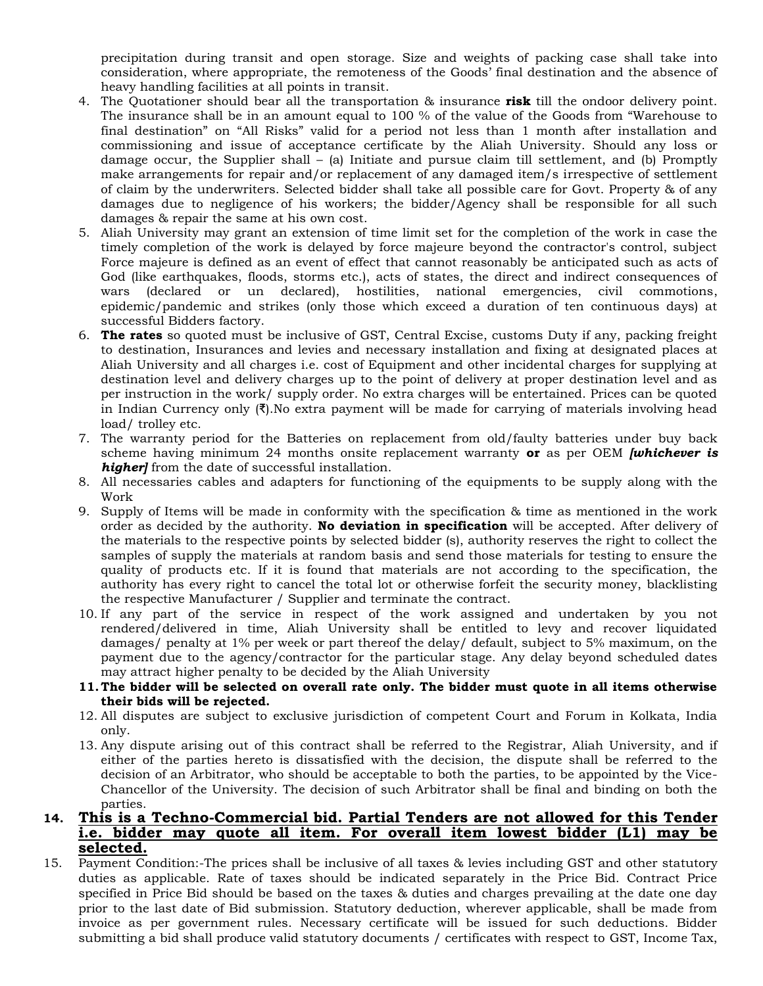precipitation during transit and open storage. Size and weights of packing case shall take into consideration, where appropriate, the remoteness of the Goods' final destination and the absence of heavy handling facilities at all points in transit.

- 4. The Quotationer should bear all the transportation & insurance **risk** till the ondoor delivery point. The insurance shall be in an amount equal to 100 % of the value of the Goods from "Warehouse to final destination" on "All Risks" valid for a period not less than 1 month after installation and commissioning and issue of acceptance certificate by the Aliah University. Should any loss or damage occur, the Supplier shall – (a) Initiate and pursue claim till settlement, and (b) Promptly make arrangements for repair and/or replacement of any damaged item/s irrespective of settlement of claim by the underwriters. Selected bidder shall take all possible care for Govt. Property & of any damages due to negligence of his workers; the bidder/Agency shall be responsible for all such damages & repair the same at his own cost.
- 5. Aliah University may grant an extension of time limit set for the completion of the work in case the timely completion of the work is delayed by force majeure beyond the contractor's control, subject Force majeure is defined as an event of effect that cannot reasonably be anticipated such as acts of God (like earthquakes, floods, storms etc.), acts of states, the direct and indirect consequences of wars (declared or un declared), hostilities, national emergencies, civil commotions, epidemic/pandemic and strikes (only those which exceed a duration of ten continuous days) at successful Bidders factory.
- 6. **The rates** so quoted must be inclusive of GST, Central Excise, customs Duty if any, packing freight to destination, Insurances and levies and necessary installation and fixing at designated places at Aliah University and all charges i.e. cost of Equipment and other incidental charges for supplying at destination level and delivery charges up to the point of delivery at proper destination level and as per instruction in the work/ supply order. No extra charges will be entertained. Prices can be quoted in Indian Currency only  $(\bar{\mathbf{x}})$ . No extra payment will be made for carrying of materials involving head load/ trolley etc.
- 7. The warranty period for the Batteries on replacement from old/faulty batteries under buy back scheme having minimum 24 months onsite replacement warranty **or** as per OEM *[whichever is higher]* from the date of successful installation.
- 8. All necessaries cables and adapters for functioning of the equipments to be supply along with the Work
- 9. Supply of Items will be made in conformity with the specification & time as mentioned in the work order as decided by the authority. **No deviation in specification** will be accepted. After delivery of the materials to the respective points by selected bidder (s), authority reserves the right to collect the samples of supply the materials at random basis and send those materials for testing to ensure the quality of products etc. If it is found that materials are not according to the specification, the authority has every right to cancel the total lot or otherwise forfeit the security money, blacklisting the respective Manufacturer / Supplier and terminate the contract.
- 10. If any part of the service in respect of the work assigned and undertaken by you not rendered/delivered in time, Aliah University shall be entitled to levy and recover liquidated damages/ penalty at 1% per week or part thereof the delay/ default, subject to 5% maximum, on the payment due to the agency/contractor for the particular stage. Any delay beyond scheduled dates may attract higher penalty to be decided by the Aliah University
- **11. The bidder will be selected on overall rate only. The bidder must quote in all items otherwise their bids will be rejected.**
- 12. All disputes are subject to exclusive jurisdiction of competent Court and Forum in Kolkata, India only.
- 13. Any dispute arising out of this contract shall be referred to the Registrar, Aliah University, and if either of the parties hereto is dissatisfied with the decision, the dispute shall be referred to the decision of an Arbitrator, who should be acceptable to both the parties, to be appointed by the Vice-Chancellor of the University. The decision of such Arbitrator shall be final and binding on both the parties.
- **14. This is a Techno-Commercial bid. Partial Tenders are not allowed for this Tender i.e. bidder may quote all item. For overall item lowest bidder (L1) may be selected.**
- 15. Payment Condition:-The prices shall be inclusive of all taxes & levies including GST and other statutory duties as applicable. Rate of taxes should be indicated separately in the Price Bid. Contract Price specified in Price Bid should be based on the taxes & duties and charges prevailing at the date one day prior to the last date of Bid submission. Statutory deduction, wherever applicable, shall be made from invoice as per government rules. Necessary certificate will be issued for such deductions. Bidder submitting a bid shall produce valid statutory documents / certificates with respect to GST, Income Tax,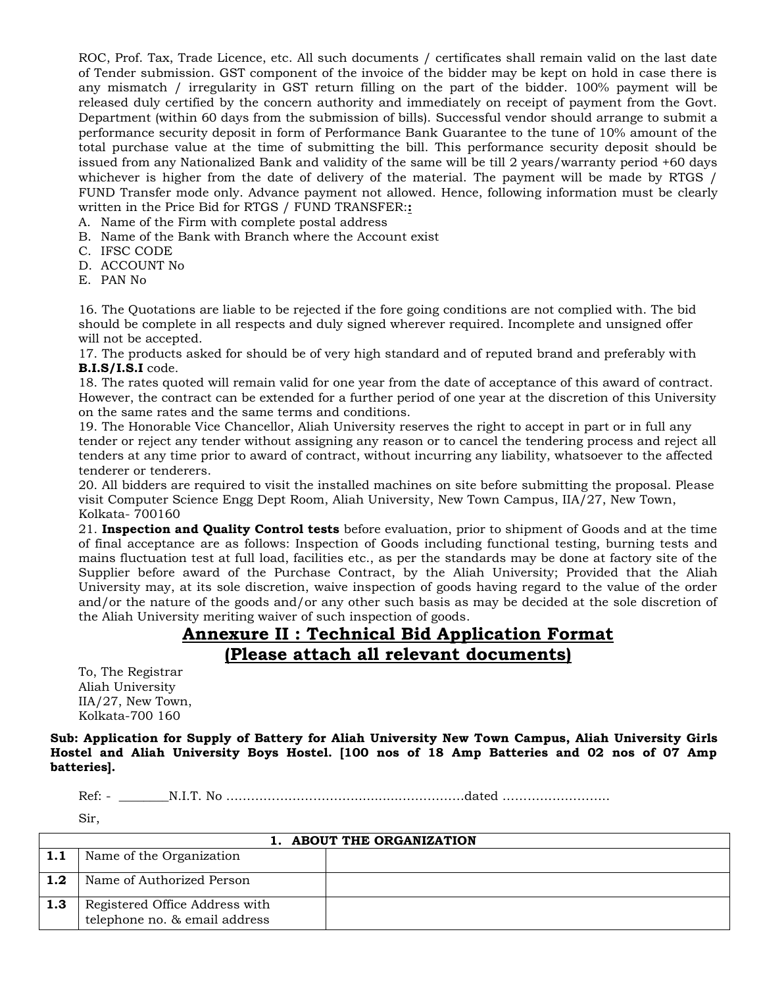ROC, Prof. Tax, Trade Licence, etc. All such documents / certificates shall remain valid on the last date of Tender submission. GST component of the invoice of the bidder may be kept on hold in case there is any mismatch / irregularity in GST return filling on the part of the bidder. 100% payment will be released duly certified by the concern authority and immediately on receipt of payment from the Govt. Department (within 60 days from the submission of bills). Successful vendor should arrange to submit a performance security deposit in form of Performance Bank Guarantee to the tune of 10% amount of the total purchase value at the time of submitting the bill. This performance security deposit should be issued from any Nationalized Bank and validity of the same will be till 2 years/warranty period +60 days whichever is higher from the date of delivery of the material. The payment will be made by RTGS / FUND Transfer mode only. Advance payment not allowed. Hence, following information must be clearly written in the Price Bid for RTGS / FUND TRANSFER:**:**

- A. Name of the Firm with complete postal address
- B. Name of the Bank with Branch where the Account exist
- C. IFSC CODE
- D. ACCOUNT No
- E. PAN No

16. The Quotations are liable to be rejected if the fore going conditions are not complied with. The bid should be complete in all respects and duly signed wherever required. Incomplete and unsigned offer will not be accepted.

17. The products asked for should be of very high standard and of reputed brand and preferably with **B.I.S/I.S.I** code.

18. The rates quoted will remain valid for one year from the date of acceptance of this award of contract. However, the contract can be extended for a further period of one year at the discretion of this University on the same rates and the same terms and conditions.

19. The Honorable Vice Chancellor, Aliah University reserves the right to accept in part or in full any tender or reject any tender without assigning any reason or to cancel the tendering process and reject all tenders at any time prior to award of contract, without incurring any liability, whatsoever to the affected tenderer or tenderers.

20. All bidders are required to visit the installed machines on site before submitting the proposal. Please visit Computer Science Engg Dept Room, Aliah University, New Town Campus, IIA/27, New Town, Kolkata- 700160

21. **Inspection and Quality Control tests** before evaluation, prior to shipment of Goods and at the time of final acceptance are as follows: Inspection of Goods including functional testing, burning tests and mains fluctuation test at full load, facilities etc., as per the standards may be done at factory site of the Supplier before award of the Purchase Contract, by the Aliah University; Provided that the Aliah University may, at its sole discretion, waive inspection of goods having regard to the value of the order and/or the nature of the goods and/or any other such basis as may be decided at the sole discretion of the Aliah University meriting waiver of such inspection of goods.

#### **Annexure II : Technical Bid Application Format (Please attach all relevant documents)**

To, The Registrar Aliah University IIA/27, New Town, Kolkata-700 160

**Sub: Application for Supply of Battery for Aliah University New Town Campus, Aliah University Girls Hostel and Aliah University Boys Hostel. [100 nos of 18 Amp Batteries and 02 nos of 07 Amp batteries].**

Ref: - \_\_\_\_\_\_\_\_N.I.T. No ………………………….............……………dated ……………………..

Sir,

| 1. ABOUT THE ORGANIZATION |                                                                 |  |  |
|---------------------------|-----------------------------------------------------------------|--|--|
| 1.1                       | Name of the Organization                                        |  |  |
| 1.2                       | Name of Authorized Person                                       |  |  |
| 1.3                       | Registered Office Address with<br>telephone no. & email address |  |  |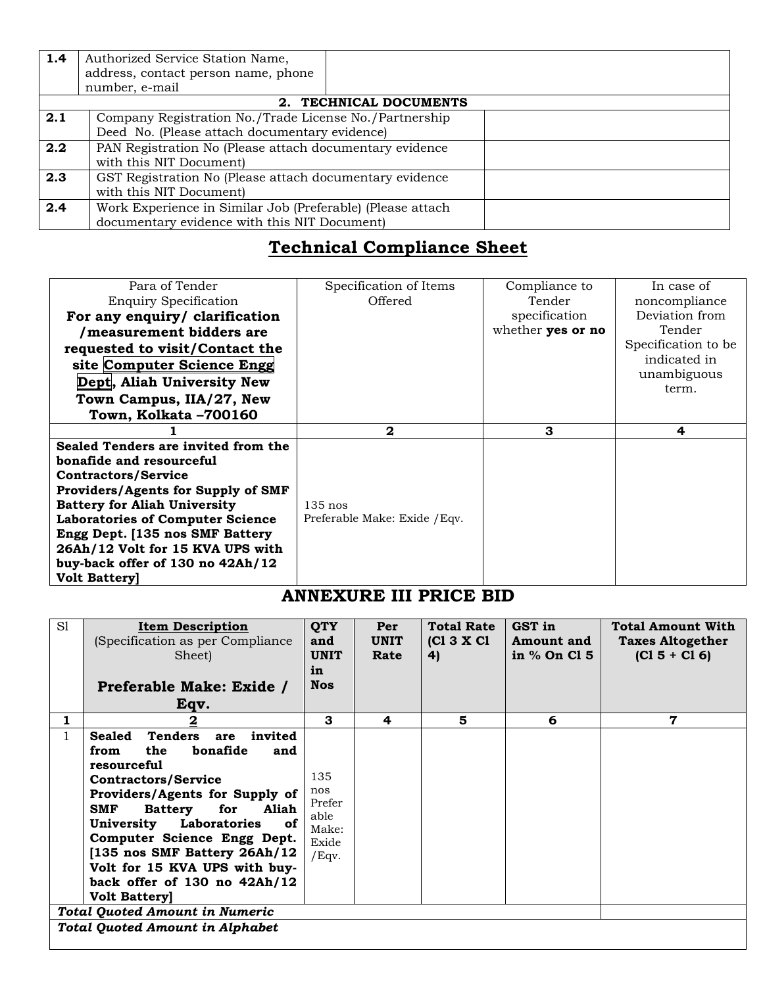| 1.4 | Authorized Service Station Name,                           |                        |  |
|-----|------------------------------------------------------------|------------------------|--|
|     | address, contact person name, phone                        |                        |  |
|     | number, e-mail                                             |                        |  |
|     |                                                            | 2. TECHNICAL DOCUMENTS |  |
| 2.1 | Company Registration No./Trade License No./Partnership     |                        |  |
|     | Deed No. (Please attach documentary evidence)              |                        |  |
| 2.2 | PAN Registration No (Please attach documentary evidence    |                        |  |
|     | with this NIT Document)                                    |                        |  |
| 2.3 | GST Registration No (Please attach documentary evidence    |                        |  |
|     | with this NIT Document)                                    |                        |  |
| 2.4 | Work Experience in Similar Job (Preferable) (Please attach |                        |  |
|     | documentary evidence with this NIT Document)               |                        |  |

## **Technical Compliance Sheet**

| Para of Tender                          | Specification of Items        | Compliance to     | In case of          |
|-----------------------------------------|-------------------------------|-------------------|---------------------|
| <b>Enquiry Specification</b>            | Offered                       | Tender            | noncompliance       |
| For any enquiry/ clarification          |                               | specification     | Deviation from      |
| /measurement bidders are                |                               | whether yes or no | Tender              |
| requested to visit/Contact the          |                               |                   | Specification to be |
| site Computer Science Engg              |                               |                   | indicated in        |
| Dept, Aliah University New              |                               |                   | unambiguous         |
| Town Campus, IIA/27, New                |                               |                   | term.               |
| Town, Kolkata -700160                   |                               |                   |                     |
|                                         |                               |                   |                     |
|                                         | $\mathbf{2}$                  | 3                 | 4                   |
| Sealed Tenders are invited from the     |                               |                   |                     |
| bonafide and resourceful                |                               |                   |                     |
| <b>Contractors/Service</b>              |                               |                   |                     |
| Providers/Agents for Supply of SMF      |                               |                   |                     |
| <b>Battery for Aliah University</b>     | $135$ nos                     |                   |                     |
| <b>Laboratories of Computer Science</b> | Preferable Make: Exide / Eqv. |                   |                     |
| Engg Dept. [135 nos SMF Battery         |                               |                   |                     |
| 26Ah/12 Volt for 15 KVA UPS with        |                               |                   |                     |
| buy-back offer of 130 no 42Ah/12        |                               |                   |                     |
| <b>Volt Batteryl</b>                    |                               |                   |                     |

### **ANNEXURE III PRICE BID**

| S1 | <b>Item Description</b><br>(Specification as per Compliance)<br>Sheet)<br>Preferable Make: Exide /<br>Eqv.                                                                                                                                                                                                                                                                                                                                       | <b>QTY</b><br>and<br><b>UNIT</b><br>in<br><b>Nos</b>    | Per<br>UNIT<br>Rate | <b>Total Rate</b><br>[CI 3 X CI]<br>4) | GST in<br><b>Amount</b> and<br>in $%$ On Cl 5 | <b>Total Amount With</b><br><b>Taxes Altogether</b><br>$(C1 5 + C1 6)$ |
|----|--------------------------------------------------------------------------------------------------------------------------------------------------------------------------------------------------------------------------------------------------------------------------------------------------------------------------------------------------------------------------------------------------------------------------------------------------|---------------------------------------------------------|---------------------|----------------------------------------|-----------------------------------------------|------------------------------------------------------------------------|
| 1  | $\mathbf{2}$                                                                                                                                                                                                                                                                                                                                                                                                                                     | 3                                                       | 4                   | 5                                      | 6                                             | $\overline{7}$                                                         |
| 1. | <b>Tenders</b><br><b>Sealed</b><br>invited<br>are<br>bonafide<br>from<br>the<br>and<br>resourceful<br><b>Contractors/Service</b><br>Providers/Agents for Supply of<br>for<br>SMF<br><b>Battery</b><br>Aliah<br>Laboratories<br>University<br>of<br>Computer Science Engg Dept.<br>[135 nos SMF Battery 26Ah/12<br>Volt for 15 KVA UPS with buy-<br>back offer of 130 no 42Ah/12<br><b>Volt Batteryl</b><br><b>Total Quoted Amount in Numeric</b> | 135<br>nos<br>Prefer<br>able<br>Make:<br>Exide<br>/Eqv. |                     |                                        |                                               |                                                                        |
|    | <b>Total Quoted Amount in Alphabet</b>                                                                                                                                                                                                                                                                                                                                                                                                           |                                                         |                     |                                        |                                               |                                                                        |